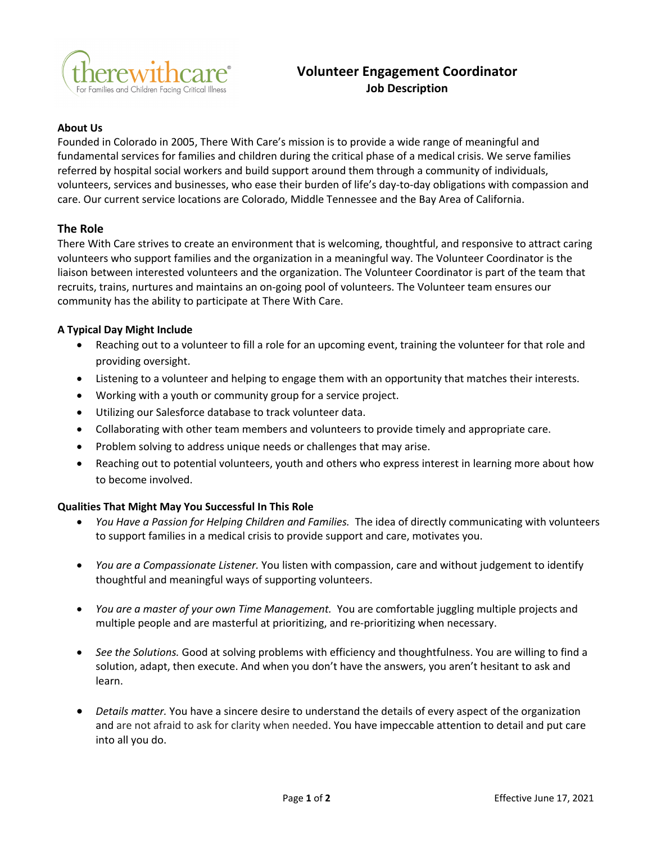

# **Volunteer Engagement Coordinator Job Description**

## **About Us**

Founded in Colorado in 2005, There With Care's mission is to provide a wide range of meaningful and fundamental services for families and children during the critical phase of a medical crisis. We serve families referred by hospital social workers and build support around them through a community of individuals, volunteers, services and businesses, who ease their burden of life's day-to-day obligations with compassion and care. Our current service locations are Colorado, Middle Tennessee and the Bay Area of California.

## **The Role**

There With Care strives to create an environment that is welcoming, thoughtful, and responsive to attract caring volunteers who support families and the organization in a meaningful way. The Volunteer Coordinator is the liaison between interested volunteers and the organization. The Volunteer Coordinator is part of the team that recruits, trains, nurtures and maintains an on-going pool of volunteers. The Volunteer team ensures our community has the ability to participate at There With Care.

### **A Typical Day Might Include**

- Reaching out to a volunteer to fill a role for an upcoming event, training the volunteer for that role and providing oversight.
- Listening to a volunteer and helping to engage them with an opportunity that matches their interests.
- Working with a youth or community group for a service project.
- Utilizing our Salesforce database to track volunteer data.
- Collaborating with other team members and volunteers to provide timely and appropriate care.
- Problem solving to address unique needs or challenges that may arise.
- Reaching out to potential volunteers, youth and others who express interest in learning more about how to become involved.

#### **Qualities That Might May You Successful In This Role**

- *You Have a Passion for Helping Children and Families.* The idea of directly communicating with volunteers to support families in a medical crisis to provide support and care, motivates you.
- *You are a Compassionate Listener.* You listen with compassion, care and without judgement to identify thoughtful and meaningful ways of supporting volunteers.
- *You are a master of your own Time Management.* You are comfortable juggling multiple projects and multiple people and are masterful at prioritizing, and re-prioritizing when necessary.
- *See the Solutions.* Good at solving problems with efficiency and thoughtfulness. You are willing to find a solution, adapt, then execute. And when you don't have the answers, you aren't hesitant to ask and learn.
- *Details matter.* You have a sincere desire to understand the details of every aspect of the organization and are not afraid to ask for clarity when needed. You have impeccable attention to detail and put care into all you do.